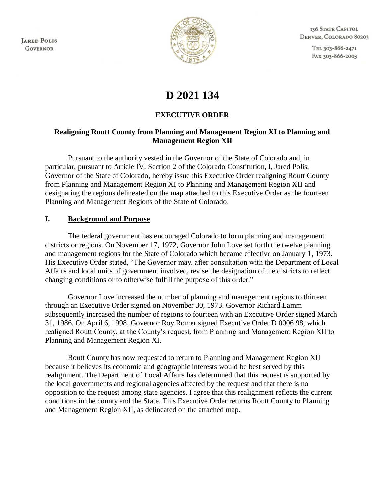**JARED POLIS GOVERNOR** 



136 STATE CAPITOL DENVER, COLORADO 80203

> TEL 303-866-2471 FAX 303-866-2003

# **D 2021 134**

## **EXECUTIVE ORDER**

#### **Realigning Routt County from Planning and Management Region XI to Planning and Management Region XII**

 Pursuant to the authority vested in the Governor of the State of Colorado and, in particular, pursuant to Article IV, Section 2 of the Colorado Constitution, I, Jared Polis, Governor of the State of Colorado, hereby issue this Executive Order realigning Routt County from Planning and Management Region XI to Planning and Management Region XII and designating the regions delineated on the map attached to this Executive Order as the fourteen Planning and Management Regions of the State of Colorado.

#### **I. Background and Purpose**

 The federal government has encouraged Colorado to form planning and management districts or regions. On November 17, 1972, Governor John Love set forth the twelve planning and management regions for the State of Colorado which became effective on January 1, 1973. His Executive Order stated, "The Governor may, after consultation with the Department of Local Affairs and local units of government involved, revise the designation of the districts to reflect changing conditions or to otherwise fulfill the purpose of this order."

 Governor Love increased the number of planning and management regions to thirteen through an Executive Order signed on November 30, 1973. Governor Richard Lamm subsequently increased the number of regions to fourteen with an Executive Order signed March 31, 1986. On April 6, 1998, Governor Roy Romer signed Executive Order D 0006 98, which realigned Routt County, at the County's request, from Planning and Management Region XII to Planning and Management Region XI.

 Routt County has now requested to return to Planning and Management Region XII because it believes its economic and geographic interests would be best served by this realignment. The Department of Local Affairs has determined that this request is supported by the local governments and regional agencies affected by the request and that there is no opposition to the request among state agencies. I agree that this realignment reflects the current conditions in the county and the State. This Executive Order returns Routt County to Planning and Management Region XII, as delineated on the attached map.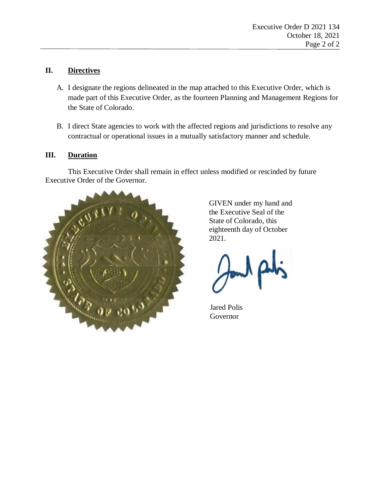## **II. Directives**

- A. I designate the regions delineated in the map attached to this Executive Order, which is made part of this Executive Order, as the fourteen Planning and Management Regions for the State of Colorado.
- B. I direct State agencies to work with the affected regions and jurisdictions to resolve any contractual or operational issues in a mutually satisfactory manner and schedule.

## **III. Duration**

 This Executive Order shall remain in effect unless modified or rescinded by future Executive Order of the Governor.



 GIVEN under my hand and the Executive Seal of the State of Colorado, this eighteenth day of October 2021.

Jared Polis Governor